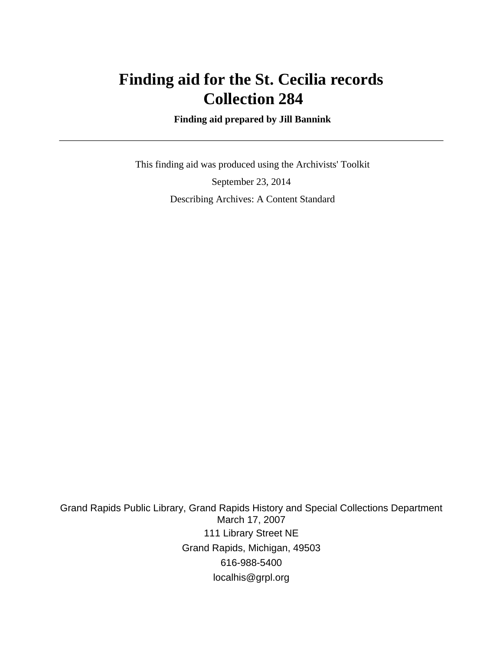# **Finding aid for the St. Cecilia records Collection 284**

 **Finding aid prepared by Jill Bannink**

 This finding aid was produced using the Archivists' Toolkit September 23, 2014 Describing Archives: A Content Standard

Grand Rapids Public Library, Grand Rapids History and Special Collections Department March 17, 2007 111 Library Street NE Grand Rapids, Michigan, 49503 616-988-5400 localhis@grpl.org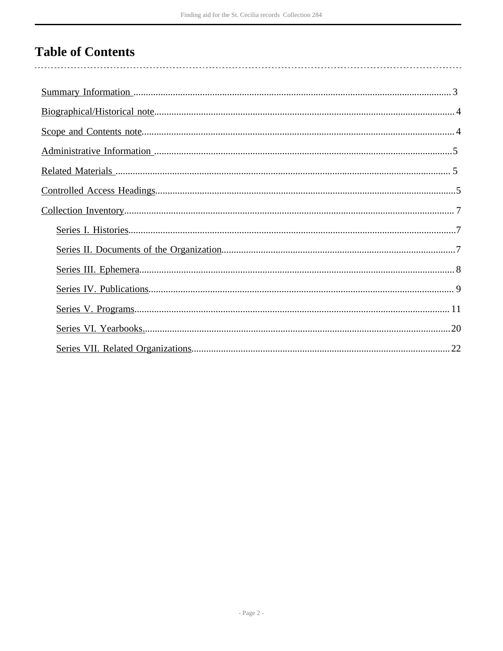# **Table of Contents**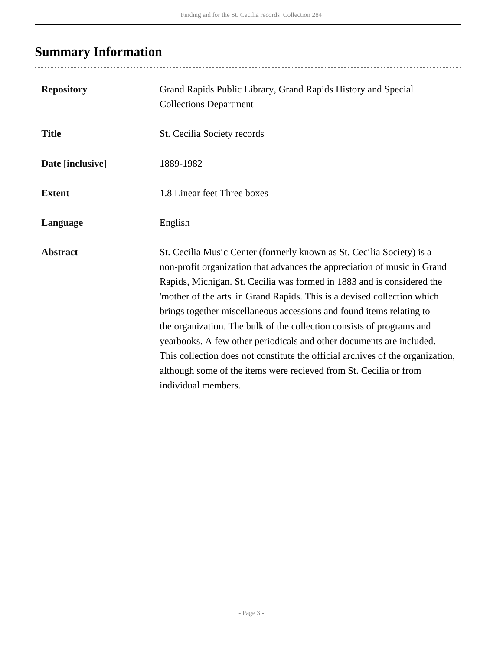# <span id="page-2-0"></span>**Summary Information**

| <b>Repository</b> | Grand Rapids Public Library, Grand Rapids History and Special<br><b>Collections Department</b>                                                                                                                                                                                                                                                                                                                                                                                                                                                                                                                                                                                                                 |
|-------------------|----------------------------------------------------------------------------------------------------------------------------------------------------------------------------------------------------------------------------------------------------------------------------------------------------------------------------------------------------------------------------------------------------------------------------------------------------------------------------------------------------------------------------------------------------------------------------------------------------------------------------------------------------------------------------------------------------------------|
| <b>Title</b>      | St. Cecilia Society records                                                                                                                                                                                                                                                                                                                                                                                                                                                                                                                                                                                                                                                                                    |
| Date [inclusive]  | 1889-1982                                                                                                                                                                                                                                                                                                                                                                                                                                                                                                                                                                                                                                                                                                      |
| <b>Extent</b>     | 1.8 Linear feet Three boxes                                                                                                                                                                                                                                                                                                                                                                                                                                                                                                                                                                                                                                                                                    |
| Language          | English                                                                                                                                                                                                                                                                                                                                                                                                                                                                                                                                                                                                                                                                                                        |
| <b>Abstract</b>   | St. Cecilia Music Center (formerly known as St. Cecilia Society) is a<br>non-profit organization that advances the appreciation of music in Grand<br>Rapids, Michigan. St. Cecilia was formed in 1883 and is considered the<br>'mother of the arts' in Grand Rapids. This is a devised collection which<br>brings together miscellaneous accessions and found items relating to<br>the organization. The bulk of the collection consists of programs and<br>yearbooks. A few other periodicals and other documents are included.<br>This collection does not constitute the official archives of the organization,<br>although some of the items were recieved from St. Cecilia or from<br>individual members. |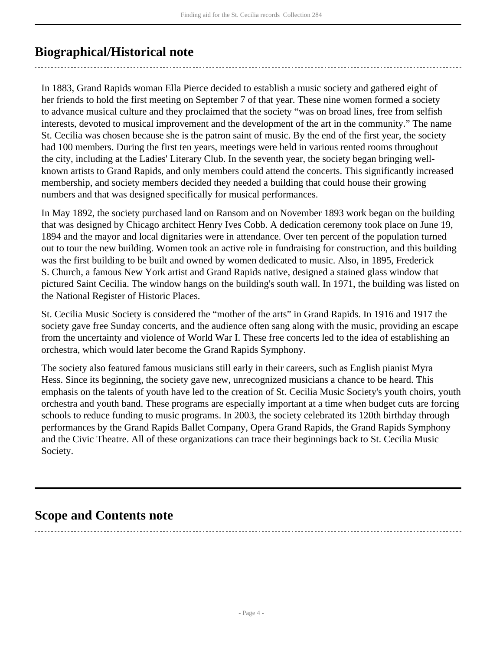## <span id="page-3-0"></span>**Biographical/Historical note**

In 1883, Grand Rapids woman Ella Pierce decided to establish a music society and gathered eight of her friends to hold the first meeting on September 7 of that year. These nine women formed a society to advance musical culture and they proclaimed that the society "was on broad lines, free from selfish interests, devoted to musical improvement and the development of the art in the community." The name St. Cecilia was chosen because she is the patron saint of music. By the end of the first year, the society had 100 members. During the first ten years, meetings were held in various rented rooms throughout the city, including at the Ladies' Literary Club. In the seventh year, the society began bringing wellknown artists to Grand Rapids, and only members could attend the concerts. This significantly increased membership, and society members decided they needed a building that could house their growing numbers and that was designed specifically for musical performances.

In May 1892, the society purchased land on Ransom and on November 1893 work began on the building that was designed by Chicago architect Henry Ives Cobb. A dedication ceremony took place on June 19, 1894 and the mayor and local dignitaries were in attendance. Over ten percent of the population turned out to tour the new building. Women took an active role in fundraising for construction, and this building was the first building to be built and owned by women dedicated to music. Also, in 1895, Frederick S. Church, a famous New York artist and Grand Rapids native, designed a stained glass window that pictured Saint Cecilia. The window hangs on the building's south wall. In 1971, the building was listed on the National Register of Historic Places.

St. Cecilia Music Society is considered the "mother of the arts" in Grand Rapids. In 1916 and 1917 the society gave free Sunday concerts, and the audience often sang along with the music, providing an escape from the uncertainty and violence of World War I. These free concerts led to the idea of establishing an orchestra, which would later become the Grand Rapids Symphony.

The society also featured famous musicians still early in their careers, such as English pianist Myra Hess. Since its beginning, the society gave new, unrecognized musicians a chance to be heard. This emphasis on the talents of youth have led to the creation of St. Cecilia Music Society's youth choirs, youth orchestra and youth band. These programs are especially important at a time when budget cuts are forcing schools to reduce funding to music programs. In 2003, the society celebrated its 120th birthday through performances by the Grand Rapids Ballet Company, Opera Grand Rapids, the Grand Rapids Symphony and the Civic Theatre. All of these organizations can trace their beginnings back to St. Cecilia Music Society.

## <span id="page-3-1"></span>**Scope and Contents note**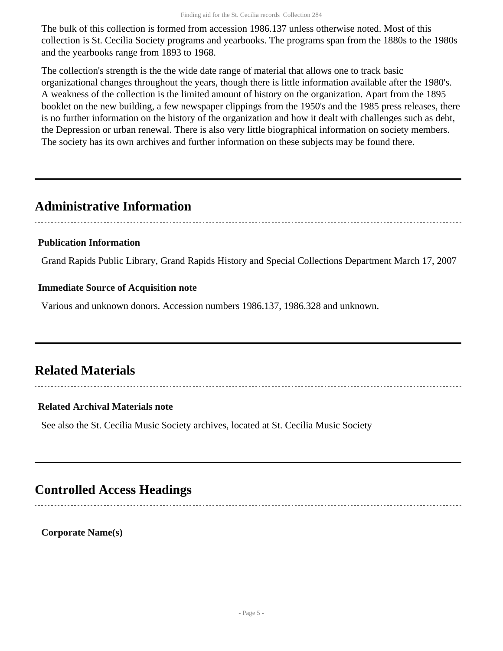The bulk of this collection is formed from accession 1986.137 unless otherwise noted. Most of this collection is St. Cecilia Society programs and yearbooks. The programs span from the 1880s to the 1980s and the yearbooks range from 1893 to 1968.

The collection's strength is the the wide date range of material that allows one to track basic organizational changes throughout the years, though there is little information available after the 1980's. A weakness of the collection is the limited amount of history on the organization. Apart from the 1895 booklet on the new building, a few newspaper clippings from the 1950's and the 1985 press releases, there is no further information on the history of the organization and how it dealt with challenges such as debt, the Depression or urban renewal. There is also very little biographical information on society members. The society has its own archives and further information on these subjects may be found there.

## <span id="page-4-0"></span>**Administrative Information**

## **Publication Information**

Grand Rapids Public Library, Grand Rapids History and Special Collections Department March 17, 2007

## **Immediate Source of Acquisition note**

Various and unknown donors. Accession numbers 1986.137, 1986.328 and unknown.

## <span id="page-4-1"></span>**Related Materials**

### **Related Archival Materials note**

See also the St. Cecilia Music Society archives, located at St. Cecilia Music Society

## <span id="page-4-2"></span>**Controlled Access Headings**

**Corporate Name(s)**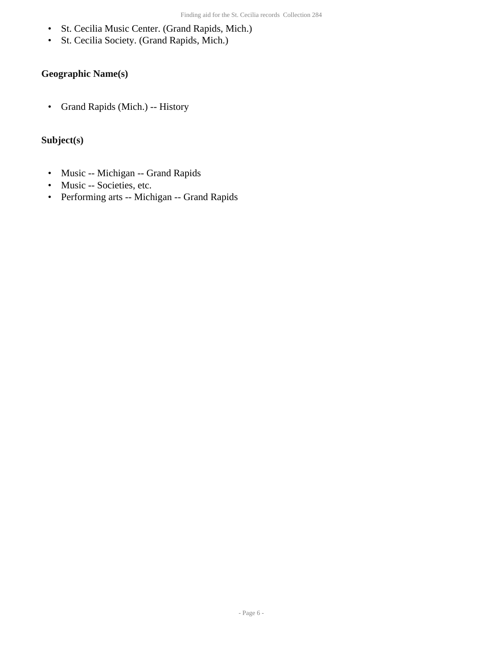- St. Cecilia Music Center. (Grand Rapids, Mich.)
- St. Cecilia Society. (Grand Rapids, Mich.)

## **Geographic Name(s)**

• Grand Rapids (Mich.) -- History

### **Subject(s)**

- Music -- Michigan -- Grand Rapids
- Music -- Societies, etc.
- Performing arts -- Michigan -- Grand Rapids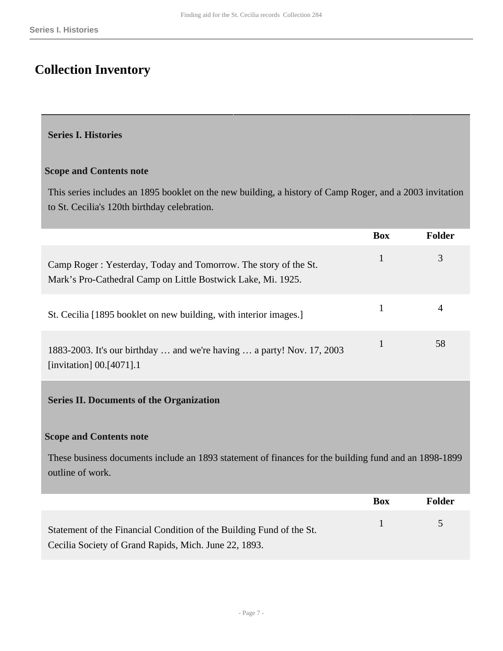## <span id="page-6-0"></span>**Collection Inventory**

#### <span id="page-6-1"></span>**Series I. Histories**

#### **Scope and Contents note**

This series includes an 1895 booklet on the new building, a history of Camp Roger, and a 2003 invitation to St. Cecilia's 120th birthday celebration.

<span id="page-6-2"></span>

|                                                                                                                                 | <b>Box</b>   | Folder        |
|---------------------------------------------------------------------------------------------------------------------------------|--------------|---------------|
| Camp Roger: Yesterday, Today and Tomorrow. The story of the St.<br>Mark's Pro-Cathedral Camp on Little Bostwick Lake, Mi. 1925. | $\mathbf{1}$ | 3             |
| St. Cecilia [1895 booklet on new building, with interior images.]                                                               | $\mathbf{1}$ | 4             |
| 1883-2003. It's our birthday  and we're having  a party! Nov. 17, 2003<br>[invitation] 00.[4071].1                              | $\mathbf{1}$ | 58            |
| <b>Series II. Documents of the Organization</b>                                                                                 |              |               |
| <b>Scope and Contents note</b>                                                                                                  |              |               |
| These business documents include an 1893 statement of finances for the building fund and an 1898-1899<br>outline of work.       |              |               |
|                                                                                                                                 | <b>Box</b>   | <b>Folder</b> |
| Statement of the Financial Condition of the Building Fund of the St.<br>Cecilia Society of Grand Rapids, Mich. June 22, 1893.   | $\mathbf{1}$ | 5             |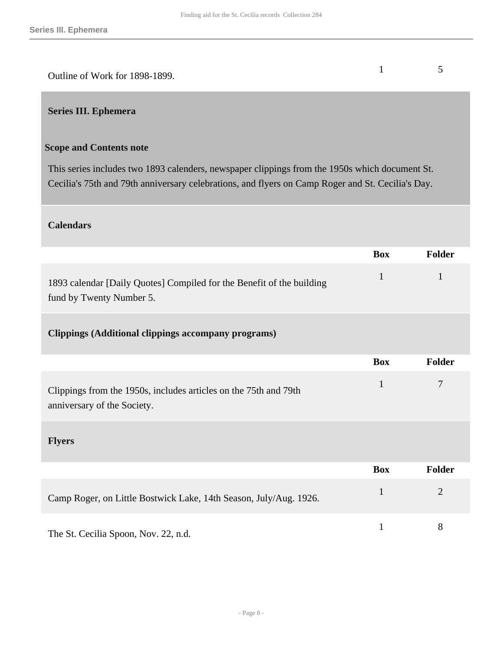| Outline of Work for 1898-1899. |  |
|--------------------------------|--|

### <span id="page-7-0"></span>**Series III. Ephemera**

### **Scope and Contents note**

This series includes two 1893 calenders, newspaper clippings from the 1950s which document St. Cecilia's 75th and 79th anniversary celebrations, and flyers on Camp Roger and St. Cecilia's Day.

#### **Calendars**

|                                                                                                   | <b>Box</b>   | Folder         |
|---------------------------------------------------------------------------------------------------|--------------|----------------|
| 1893 calendar [Daily Quotes] Compiled for the Benefit of the building<br>fund by Twenty Number 5. | $\mathbf{1}$ | $\mathbf{1}$   |
| <b>Clippings (Additional clippings accompany programs)</b>                                        |              |                |
|                                                                                                   | <b>Box</b>   | Folder         |
| Clippings from the 1950s, includes articles on the 75th and 79th<br>anniversary of the Society.   | $\mathbf{1}$ | 7              |
| <b>Flyers</b>                                                                                     |              |                |
|                                                                                                   | <b>Box</b>   | <b>Folder</b>  |
| Camp Roger, on Little Bostwick Lake, 14th Season, July/Aug. 1926.                                 | $\mathbf{1}$ | $\overline{2}$ |
| The St. Cecilia Spoon, Nov. 22, n.d.                                                              | $\mathbf{1}$ | 8              |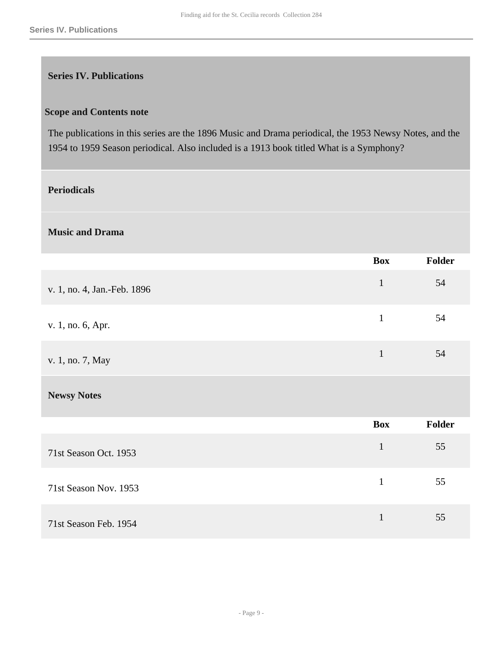### <span id="page-8-0"></span>**Series IV. Publications**

#### **Scope and Contents note**

The publications in this series are the 1896 Music and Drama periodical, the 1953 Newsy Notes, and the 1954 to 1959 Season periodical. Also included is a 1913 book titled What is a Symphony?

### **Periodicals**

#### **Music and Drama**

|                             | Box          | Folder |
|-----------------------------|--------------|--------|
| v. 1, no. 4, Jan.-Feb. 1896 | $\mathbf{1}$ | 54     |
| v. 1, no. 6, Apr.           | $\mathbf{1}$ | 54     |
| v. 1, no. 7, May            | $\mathbf{1}$ | 54     |
| <b>Newsy Notes</b>          |              |        |
|                             | <b>Box</b>   | Folder |
| 71st Season Oct. 1953       | $\mathbf{1}$ | 55     |
| 71st Season Nov. 1953       | $\mathbf{1}$ | 55     |
| 71st Season Feb. 1954       | $\mathbf{1}$ | 55     |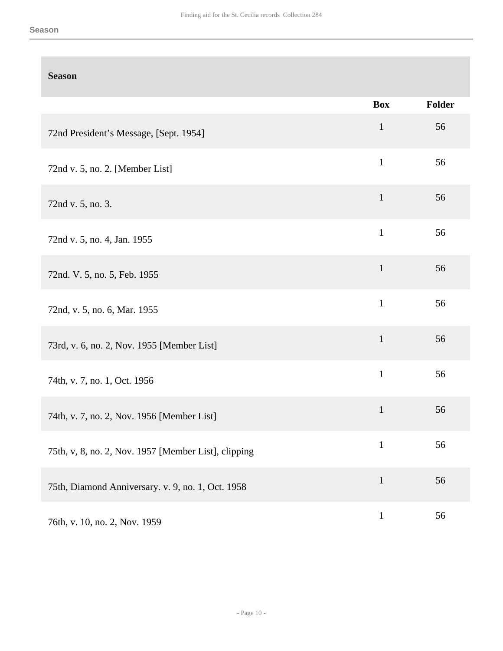### **Season**

|                                                      | <b>Box</b>   | Folder |
|------------------------------------------------------|--------------|--------|
| 72nd President's Message, [Sept. 1954]               | $\mathbf{1}$ | 56     |
| 72nd v. 5, no. 2. [Member List]                      | $\mathbf{1}$ | 56     |
| 72nd v. 5, no. 3.                                    | $\mathbf{1}$ | 56     |
| 72nd v. 5, no. 4, Jan. 1955                          | $\mathbf{1}$ | 56     |
| 72nd. V. 5, no. 5, Feb. 1955                         | $\mathbf{1}$ | 56     |
| 72nd, v. 5, no. 6, Mar. 1955                         | $\mathbf{1}$ | 56     |
| 73rd, v. 6, no. 2, Nov. 1955 [Member List]           | $\mathbf 1$  | 56     |
| 74th, v. 7, no. 1, Oct. 1956                         | $\mathbf{1}$ | 56     |
| 74th, v. 7, no. 2, Nov. 1956 [Member List]           | $\mathbf 1$  | 56     |
| 75th, v, 8, no. 2, Nov. 1957 [Member List], clipping | $\mathbf{1}$ | 56     |
| 75th, Diamond Anniversary. v. 9, no. 1, Oct. 1958    | $\mathbf{1}$ | 56     |
| 76th, v. 10, no. 2, Nov. 1959                        | $\mathbf{1}$ | 56     |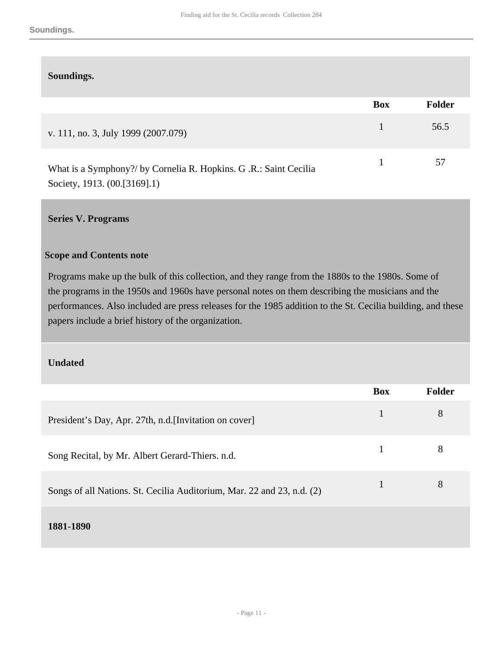#### **Soundings.**

|                                                                                                  | <b>Box</b> | Folder |
|--------------------------------------------------------------------------------------------------|------------|--------|
| v. 111, no. 3, July 1999 (2007.079)                                                              |            | 56.5   |
| What is a Symphony?/ by Cornelia R. Hopkins. G.R.: Saint Cecilia<br>Society, 1913. (00.[3169].1) |            | 57     |

#### <span id="page-10-0"></span>**Series V. Programs**

#### **Scope and Contents note**

Programs make up the bulk of this collection, and they range from the 1880s to the 1980s. Some of the programs in the 1950s and 1960s have personal notes on them describing the musicians and the performances. Also included are press releases for the 1985 addition to the St. Cecilia building, and these papers include a brief history of the organization.

#### **Undated**

|                                                                        | <b>Box</b> | Folder |
|------------------------------------------------------------------------|------------|--------|
| President's Day, Apr. 27th, n.d. [Invitation on cover]                 | 1          | 8      |
| Song Recital, by Mr. Albert Gerard-Thiers. n.d.                        |            | 8      |
| Songs of all Nations. St. Cecilia Auditorium, Mar. 22 and 23, n.d. (2) |            | 8      |
| 1881-1890                                                              |            |        |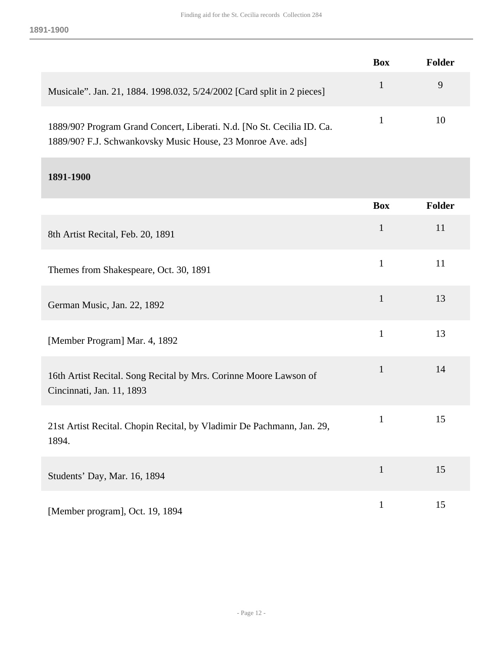|                                                                        | <b>Box</b> | Folder |
|------------------------------------------------------------------------|------------|--------|
| Musicale". Jan. 21, 1884. 1998.032, 5/24/2002 [Card split in 2 pieces] |            | 9      |
| 1889/90? Program Grand Concert, Liberati. N.d. [No St. Cecilia ID. Ca. |            | 10     |

1889/90? F.J. Schwankovsky Music House, 23 Monroe Ave. ads]

### **1891-1900**

|                                                                                                | <b>Box</b>   | <b>Folder</b> |
|------------------------------------------------------------------------------------------------|--------------|---------------|
|                                                                                                |              |               |
| 8th Artist Recital, Feb. 20, 1891                                                              | $\mathbf{1}$ | 11            |
| Themes from Shakespeare, Oct. 30, 1891                                                         | $\mathbf{1}$ | 11            |
| German Music, Jan. 22, 1892                                                                    | $\mathbf{1}$ | 13            |
| [Member Program] Mar. 4, 1892                                                                  | $\mathbf{1}$ | 13            |
| 16th Artist Recital. Song Recital by Mrs. Corinne Moore Lawson of<br>Cincinnati, Jan. 11, 1893 | $\mathbf{1}$ | 14            |
| 21st Artist Recital. Chopin Recital, by Vladimir De Pachmann, Jan. 29,<br>1894.                | $\mathbf{1}$ | 15            |
| Students' Day, Mar. 16, 1894                                                                   | $\mathbf{1}$ | 15            |
| [Member program], Oct. 19, 1894                                                                | $\mathbf{1}$ | 15            |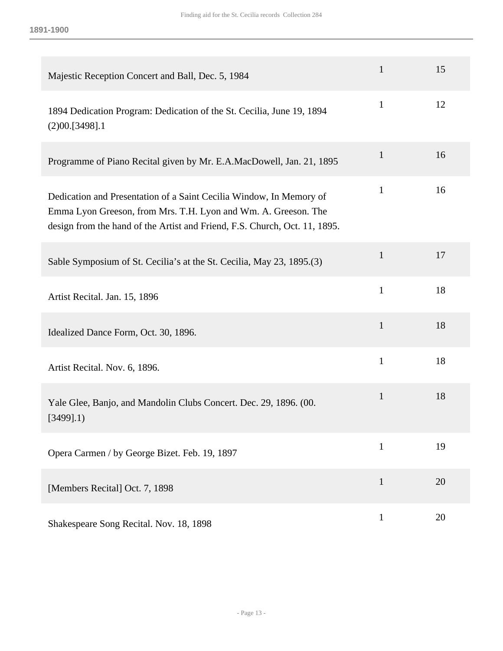| Majestic Reception Concert and Ball, Dec. 5, 1984                                                                                                                                                                   | $\mathbf{1}$ | 15 |
|---------------------------------------------------------------------------------------------------------------------------------------------------------------------------------------------------------------------|--------------|----|
| 1894 Dedication Program: Dedication of the St. Cecilia, June 19, 1894<br>(2)00.[3498].1                                                                                                                             | $\mathbf{1}$ | 12 |
| Programme of Piano Recital given by Mr. E.A.MacDowell, Jan. 21, 1895                                                                                                                                                | $\mathbf{1}$ | 16 |
| Dedication and Presentation of a Saint Cecilia Window, In Memory of<br>Emma Lyon Greeson, from Mrs. T.H. Lyon and Wm. A. Greeson. The<br>design from the hand of the Artist and Friend, F.S. Church, Oct. 11, 1895. | $\mathbf{1}$ | 16 |
| Sable Symposium of St. Cecilia's at the St. Cecilia, May 23, 1895.(3)                                                                                                                                               | $\mathbf{1}$ | 17 |
| Artist Recital. Jan. 15, 1896                                                                                                                                                                                       | $\mathbf{1}$ | 18 |
| Idealized Dance Form, Oct. 30, 1896.                                                                                                                                                                                | $\mathbf{1}$ | 18 |
| Artist Recital. Nov. 6, 1896.                                                                                                                                                                                       | $\mathbf{1}$ | 18 |
| Yale Glee, Banjo, and Mandolin Clubs Concert. Dec. 29, 1896. (00.<br>$[3499]$ .1)                                                                                                                                   | $\mathbf{1}$ | 18 |
| Opera Carmen / by George Bizet. Feb. 19, 1897                                                                                                                                                                       | $\mathbf{1}$ | 19 |
| [Members Recital] Oct. 7, 1898                                                                                                                                                                                      | $\mathbf{1}$ | 20 |
| Shakespeare Song Recital. Nov. 18, 1898                                                                                                                                                                             | $\mathbf{1}$ | 20 |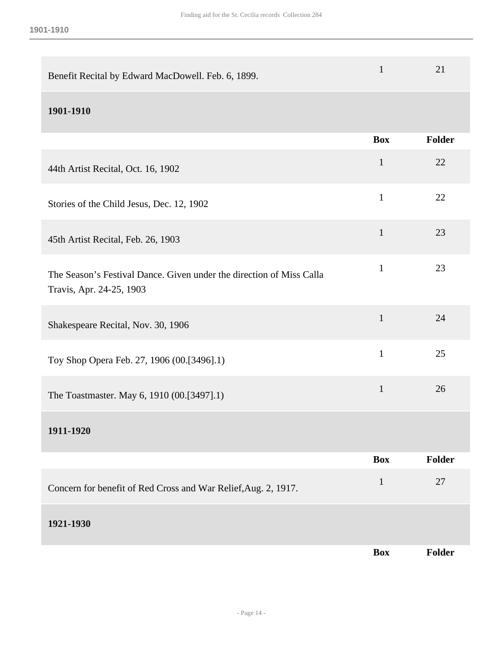| Benefit Recital by Edward MacDowell. Feb. 6, 1899.                                               | $\mathbf{1}$ | 21     |
|--------------------------------------------------------------------------------------------------|--------------|--------|
| 1901-1910                                                                                        |              |        |
|                                                                                                  | <b>Box</b>   | Folder |
| 44th Artist Recital, Oct. 16, 1902                                                               | $\mathbf{1}$ | 22     |
| Stories of the Child Jesus, Dec. 12, 1902                                                        | $\mathbf{1}$ | 22     |
| 45th Artist Recital, Feb. 26, 1903                                                               | $\mathbf{1}$ | 23     |
| The Season's Festival Dance. Given under the direction of Miss Calla<br>Travis, Apr. 24-25, 1903 | $\mathbf{1}$ | 23     |
| Shakespeare Recital, Nov. 30, 1906                                                               | $\mathbf{1}$ | 24     |
| Toy Shop Opera Feb. 27, 1906 (00.[3496].1)                                                       | $\mathbf{1}$ | 25     |
| The Toastmaster. May 6, 1910 (00.[3497].1)                                                       | $\mathbf{1}$ | 26     |
| 1911-1920                                                                                        |              |        |
|                                                                                                  | <b>Box</b>   | Folder |

| Concern for benefit of Red Cross and War Relief, Aug. 2, 1917. |            | 27            |
|----------------------------------------------------------------|------------|---------------|
| 1921-1930                                                      |            |               |
|                                                                | <b>Box</b> | <b>Folder</b> |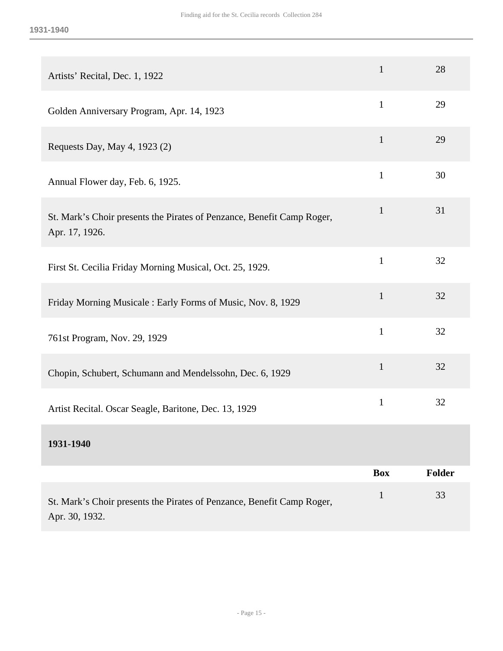| Artists' Recital, Dec. 1, 1922                                                           | $\mathbf{1}$ | 28            |
|------------------------------------------------------------------------------------------|--------------|---------------|
| Golden Anniversary Program, Apr. 14, 1923                                                | $\mathbf{1}$ | 29            |
| Requests Day, May 4, 1923 (2)                                                            | $\mathbf{1}$ | 29            |
| Annual Flower day, Feb. 6, 1925.                                                         | $\mathbf{1}$ | 30            |
| St. Mark's Choir presents the Pirates of Penzance, Benefit Camp Roger,<br>Apr. 17, 1926. | $\mathbf{1}$ | 31            |
| First St. Cecilia Friday Morning Musical, Oct. 25, 1929.                                 | $\mathbf{1}$ | 32            |
| Friday Morning Musicale: Early Forms of Music, Nov. 8, 1929                              | $\mathbf{1}$ | 32            |
| 761st Program, Nov. 29, 1929                                                             | $\mathbf{1}$ | 32            |
| Chopin, Schubert, Schumann and Mendelssohn, Dec. 6, 1929                                 | $\mathbf{1}$ | 32            |
| Artist Recital. Oscar Seagle, Baritone, Dec. 13, 1929                                    | $\mathbf{1}$ | 32            |
| 1931-1940                                                                                |              |               |
|                                                                                          | <b>Box</b>   | <b>Folder</b> |
| St. Mark's Choir presents the Pirates of Penzance, Benefit Camp Roger,<br>Apr. 30, 1932. | $\mathbf{1}$ | 33            |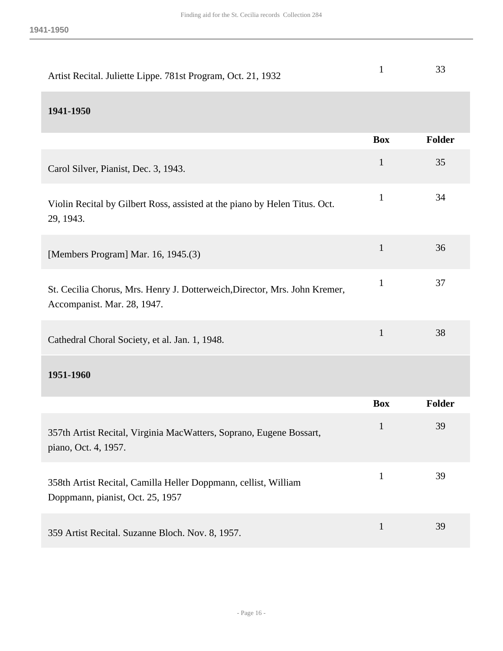| Artist Recital. Juliette Lippe. 781st Program, Oct. 21, 1932                                              | $\mathbf{1}$ | 33     |
|-----------------------------------------------------------------------------------------------------------|--------------|--------|
| 1941-1950                                                                                                 |              |        |
|                                                                                                           | <b>Box</b>   | Folder |
| Carol Silver, Pianist, Dec. 3, 1943.                                                                      | $\mathbf{1}$ | 35     |
| Violin Recital by Gilbert Ross, assisted at the piano by Helen Titus. Oct.<br>29, 1943.                   | $\mathbf{1}$ | 34     |
| [Members Program] Mar. 16, 1945.(3)                                                                       | $\mathbf{1}$ | 36     |
| St. Cecilia Chorus, Mrs. Henry J. Dotterweich, Director, Mrs. John Kremer,<br>Accompanist. Mar. 28, 1947. | $\mathbf{1}$ | 37     |
| Cathedral Choral Society, et al. Jan. 1, 1948.                                                            | $\mathbf{1}$ | 38     |
| 1951-1960                                                                                                 |              |        |
|                                                                                                           | <b>Box</b>   | Folder |
| 357th Artist Recital, Virginia MacWatters, Soprano, Eugene Bossart,<br>piano, Oct. 4, 1957.               | 1            | 39     |
| 358th Artist Recital, Camilla Heller Doppmann, cellist, William<br>Doppmann, pianist, Oct. 25, 1957       | $\mathbf{1}$ | 39     |
| 359 Artist Recital. Suzanne Bloch. Nov. 8, 1957.                                                          | $\mathbf 1$  | 39     |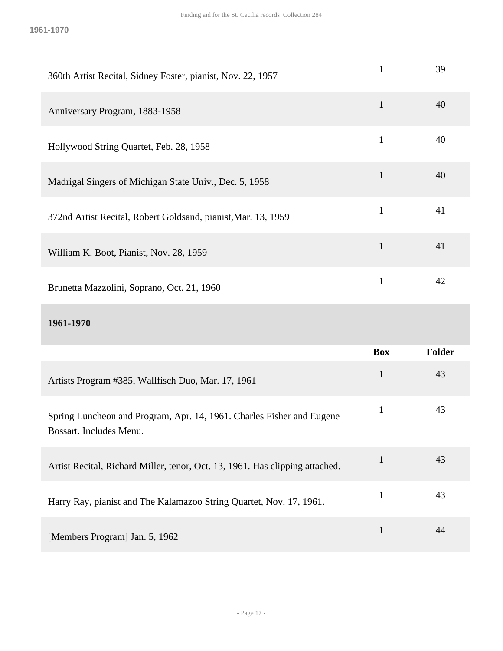| 360th Artist Recital, Sidney Foster, pianist, Nov. 22, 1957                                      | $\mathbf{1}$ | 39     |
|--------------------------------------------------------------------------------------------------|--------------|--------|
| Anniversary Program, 1883-1958                                                                   | $\mathbf{1}$ | 40     |
| Hollywood String Quartet, Feb. 28, 1958                                                          | $\mathbf{1}$ | 40     |
| Madrigal Singers of Michigan State Univ., Dec. 5, 1958                                           | $\mathbf{1}$ | 40     |
| 372nd Artist Recital, Robert Goldsand, pianist, Mar. 13, 1959                                    | $\mathbf{1}$ | 41     |
| William K. Boot, Pianist, Nov. 28, 1959                                                          | $\mathbf{1}$ | 41     |
| Brunetta Mazzolini, Soprano, Oct. 21, 1960                                                       | $\mathbf{1}$ | 42     |
|                                                                                                  |              |        |
| 1961-1970                                                                                        |              |        |
|                                                                                                  | <b>Box</b>   | Folder |
| Artists Program #385, Wallfisch Duo, Mar. 17, 1961                                               | $\mathbf{1}$ | 43     |
| Spring Luncheon and Program, Apr. 14, 1961. Charles Fisher and Eugene<br>Bossart. Includes Menu. | $\mathbf{1}$ | 43     |
| Artist Recital, Richard Miller, tenor, Oct. 13, 1961. Has clipping attached.                     | $\mathbf{1}$ | 43     |
| Harry Ray, pianist and The Kalamazoo String Quartet, Nov. 17, 1961.                              | $\mathbf{1}$ | 43     |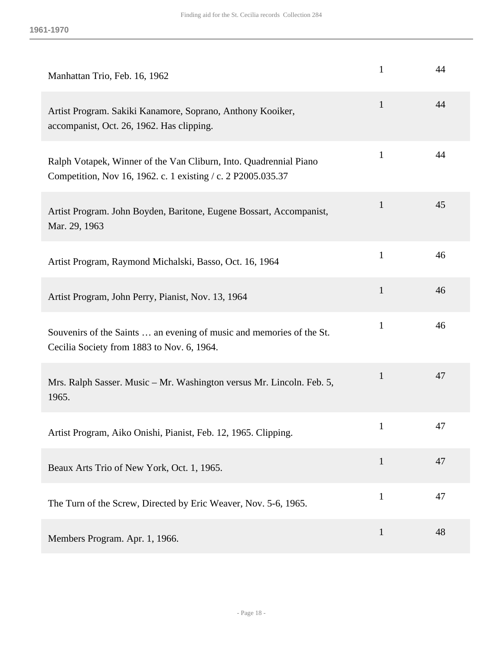| Manhattan Trio, Feb. 16, 1962                                                                                                     | 1            | 44 |
|-----------------------------------------------------------------------------------------------------------------------------------|--------------|----|
| Artist Program. Sakiki Kanamore, Soprano, Anthony Kooiker,<br>accompanist, Oct. 26, 1962. Has clipping.                           | $\mathbf{1}$ | 44 |
| Ralph Votapek, Winner of the Van Cliburn, Into. Quadrennial Piano<br>Competition, Nov 16, 1962. c. 1 existing / c. 2 P2005.035.37 | $\mathbf{1}$ | 44 |
| Artist Program. John Boyden, Baritone, Eugene Bossart, Accompanist,<br>Mar. 29, 1963                                              | $\mathbf{1}$ | 45 |
| Artist Program, Raymond Michalski, Basso, Oct. 16, 1964                                                                           | 1            | 46 |
| Artist Program, John Perry, Pianist, Nov. 13, 1964                                                                                | $\mathbf{1}$ | 46 |
| Souvenirs of the Saints  an evening of music and memories of the St.<br>Cecilia Society from 1883 to Nov. 6, 1964.                | 1            | 46 |
| Mrs. Ralph Sasser. Music - Mr. Washington versus Mr. Lincoln. Feb. 5,<br>1965.                                                    | $\mathbf{1}$ | 47 |
| Artist Program, Aiko Onishi, Pianist, Feb. 12, 1965. Clipping.                                                                    | $\mathbf{1}$ | 47 |
| Beaux Arts Trio of New York, Oct. 1, 1965.                                                                                        | $\mathbf{1}$ | 47 |
| The Turn of the Screw, Directed by Eric Weaver, Nov. 5-6, 1965.                                                                   | $\mathbf{1}$ | 47 |
| Members Program. Apr. 1, 1966.                                                                                                    | $\mathbf{1}$ | 48 |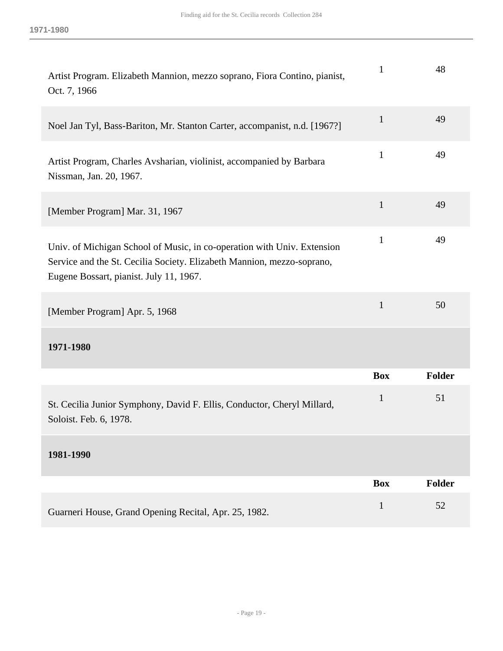| Artist Program. Elizabeth Mannion, mezzo soprano, Fiora Contino, pianist,<br>Oct. 7, 1966                                                                                                    | $\mathbf{1}$ | 48            |
|----------------------------------------------------------------------------------------------------------------------------------------------------------------------------------------------|--------------|---------------|
| Noel Jan Tyl, Bass-Bariton, Mr. Stanton Carter, accompanist, n.d. [1967?]                                                                                                                    | $\mathbf{1}$ | 49            |
| Artist Program, Charles Avsharian, violinist, accompanied by Barbara<br>Nissman, Jan. 20, 1967.                                                                                              | 1            | 49            |
| [Member Program] Mar. 31, 1967                                                                                                                                                               | $\mathbf{1}$ | 49            |
| Univ. of Michigan School of Music, in co-operation with Univ. Extension<br>Service and the St. Cecilia Society. Elizabeth Mannion, mezzo-soprano,<br>Eugene Bossart, pianist. July 11, 1967. | $\mathbf{1}$ | 49            |
| [Member Program] Apr. 5, 1968                                                                                                                                                                | $\mathbf{1}$ | 50            |
| 1971-1980                                                                                                                                                                                    |              |               |
|                                                                                                                                                                                              | <b>Box</b>   | <b>Folder</b> |
| St. Cecilia Junior Symphony, David F. Ellis, Conductor, Cheryl Millard,<br>Soloist. Feb. 6, 1978.                                                                                            | $\mathbf{1}$ | 51            |
| 1981-1990                                                                                                                                                                                    |              |               |
|                                                                                                                                                                                              | <b>Box</b>   | Folder        |
| Guarneri House, Grand Opening Recital, Apr. 25, 1982.                                                                                                                                        | $\mathbf{1}$ | 52            |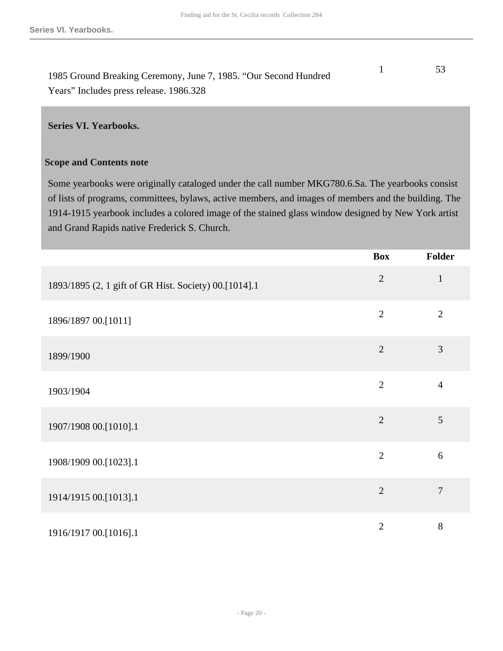| 1985 Ground Breaking Ceremony, June 7, 1985. "Our Second Hundred |  |
|------------------------------------------------------------------|--|
| Years" Includes press release. 1986.328                          |  |

#### <span id="page-19-0"></span>**Series VI. Yearbooks.**

#### **Scope and Contents note**

Some yearbooks were originally cataloged under the call number MKG780.6.Sa. The yearbooks consist of lists of programs, committees, bylaws, active members, and images of members and the building. The 1914-1915 yearbook includes a colored image of the stained glass window designed by New York artist and Grand Rapids native Frederick S. Church.

|                                                       | <b>Box</b>     | Folder         |
|-------------------------------------------------------|----------------|----------------|
| 1893/1895 (2, 1 gift of GR Hist. Society) 00.[1014].1 | $\overline{2}$ | $\mathbf{1}$   |
| 1896/1897 00.[1011]                                   | $\overline{2}$ | $\overline{2}$ |
| 1899/1900                                             | $\overline{2}$ | 3              |
| 1903/1904                                             | $\overline{2}$ | $\overline{4}$ |
| 1907/1908 00.[1010].1                                 | $\overline{2}$ | $\mathfrak{S}$ |
| 1908/1909 00.[1023].1                                 | $\overline{2}$ | 6              |
| 1914/1915 00.[1013].1                                 | $\overline{2}$ | $\overline{7}$ |
| 1916/1917 00.[1016].1                                 | $\overline{2}$ | 8              |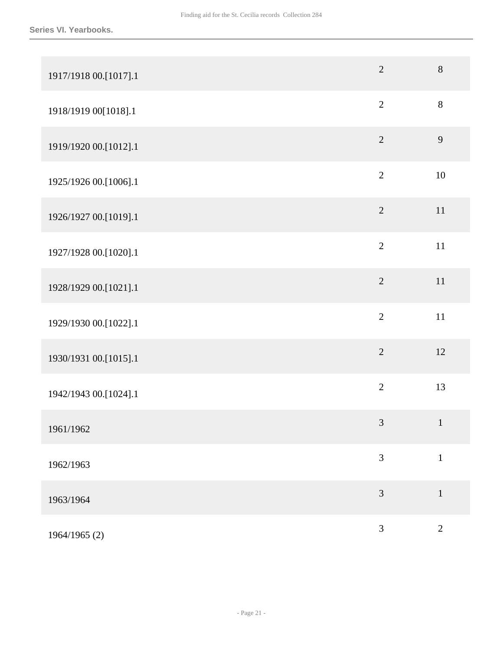| 1917/1918 00.[1017].1 | $\overline{2}$ | $8\,$          |
|-----------------------|----------------|----------------|
| 1918/1919 00[1018].1  | $\overline{2}$ | $8\,$          |
| 1919/1920 00.[1012].1 | $\overline{2}$ | $\mathbf{9}$   |
| 1925/1926 00.[1006].1 | $\overline{2}$ | $10\,$         |
| 1926/1927 00.[1019].1 | $\overline{2}$ | $11\,$         |
| 1927/1928 00.[1020].1 | $\overline{2}$ | $11\,$         |
| 1928/1929 00.[1021].1 | $\overline{2}$ | $11\,$         |
| 1929/1930 00.[1022].1 | $\overline{2}$ | $11\,$         |
| 1930/1931 00.[1015].1 | $\overline{2}$ | 12             |
| 1942/1943 00.[1024].1 | $\overline{2}$ | 13             |
| 1961/1962             | $\mathfrak{Z}$ | $\mathbf{1}$   |
| 1962/1963             | $\mathfrak{Z}$ | $\mathbf{1}$   |
| 1963/1964             | 3              | $\mathbf 1$    |
| 1964/1965 (2)         | 3              | $\overline{2}$ |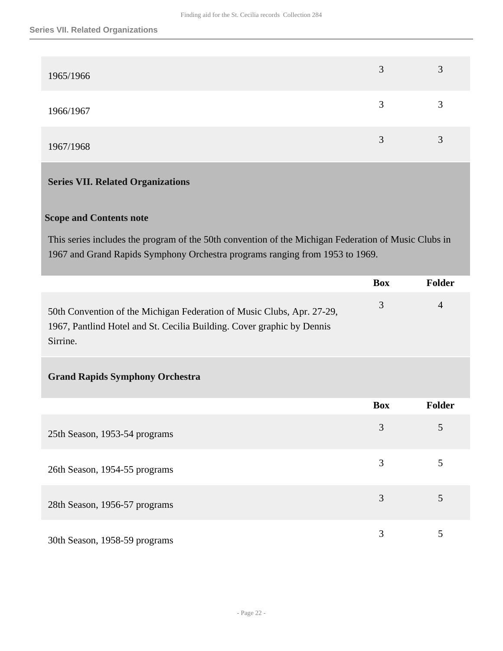| 1965/1966 | $\mathbf 3$ | 3 |
|-----------|-------------|---|
| 1966/1967 | ر           | 3 |
| 1967/1968 |             | 3 |

## <span id="page-21-0"></span>**Series VII. Related Organizations**

### **Scope and Contents note**

This series includes the program of the 50th convention of the Michigan Federation of Music Clubs in 1967 and Grand Rapids Symphony Orchestra programs ranging from 1953 to 1969.

|                                                                                                                                                              | <b>Box</b> | Folder         |
|--------------------------------------------------------------------------------------------------------------------------------------------------------------|------------|----------------|
| 50th Convention of the Michigan Federation of Music Clubs, Apr. 27-29,<br>1967, Pantlind Hotel and St. Cecilia Building. Cover graphic by Dennis<br>Sirrine. | 3          | $\overline{4}$ |
| <b>Grand Rapids Symphony Orchestra</b>                                                                                                                       |            |                |
|                                                                                                                                                              | <b>Box</b> | Folder         |
| 25th Season, 1953-54 programs                                                                                                                                | 3          | 5              |
| 26th Season, 1954-55 programs                                                                                                                                | 3          | 5              |
| 28th Season, 1956-57 programs                                                                                                                                | 3          | 5              |
| 30th Season, 1958-59 programs                                                                                                                                | 3          | 5              |